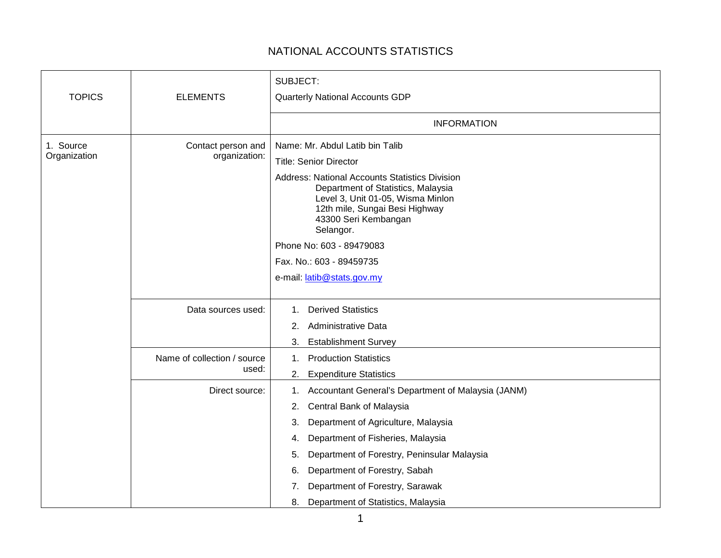## NATIONAL ACCOUNTS STATISTICS

| <b>TOPICS</b>             | <b>ELEMENTS</b>                      | SUBJECT:<br>Quarterly National Accounts GDP                                                                                                                                                                                                                                                                                                                         |
|---------------------------|--------------------------------------|---------------------------------------------------------------------------------------------------------------------------------------------------------------------------------------------------------------------------------------------------------------------------------------------------------------------------------------------------------------------|
|                           |                                      | <b>INFORMATION</b>                                                                                                                                                                                                                                                                                                                                                  |
| 1. Source<br>Organization | Contact person and<br>organization:  | Name: Mr. Abdul Latib bin Talib<br><b>Title: Senior Director</b><br><b>Address: National Accounts Statistics Division</b><br>Department of Statistics, Malaysia<br>Level 3, Unit 01-05, Wisma Minlon<br>12th mile, Sungai Besi Highway<br>43300 Seri Kembangan<br>Selangor.<br>Phone No: 603 - 89479083<br>Fax. No.: 603 - 89459735                                 |
|                           |                                      | e-mail: latib@stats.gov.my                                                                                                                                                                                                                                                                                                                                          |
|                           | Data sources used:                   | <b>Derived Statistics</b><br>1.<br><b>Administrative Data</b><br>2.<br><b>Establishment Survey</b><br>3.                                                                                                                                                                                                                                                            |
|                           | Name of collection / source<br>used: | <b>Production Statistics</b><br>$1_{\cdot}$<br><b>Expenditure Statistics</b><br>2.                                                                                                                                                                                                                                                                                  |
|                           | Direct source:                       | Accountant General's Department of Malaysia (JANM)<br>1.<br>Central Bank of Malaysia<br>2.<br>Department of Agriculture, Malaysia<br>3.<br>Department of Fisheries, Malaysia<br>4.<br>Department of Forestry, Peninsular Malaysia<br>5.<br>Department of Forestry, Sabah<br>6.<br>Department of Forestry, Sarawak<br>7.<br>Department of Statistics, Malaysia<br>8. |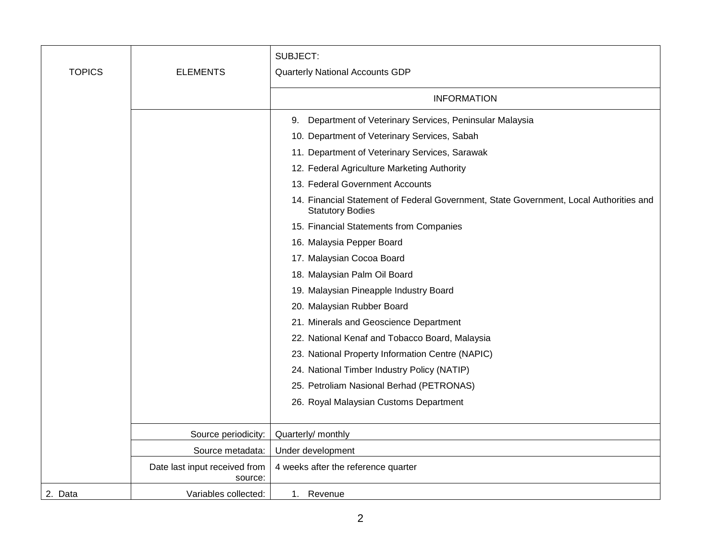| <b>TOPICS</b> | <b>ELEMENTS</b>                          | SUBJECT:<br>Quarterly National Accounts GDP                                                                       |
|---------------|------------------------------------------|-------------------------------------------------------------------------------------------------------------------|
|               |                                          | <b>INFORMATION</b>                                                                                                |
|               |                                          | Department of Veterinary Services, Peninsular Malaysia<br>9.                                                      |
|               |                                          | 10. Department of Veterinary Services, Sabah                                                                      |
|               |                                          | 11. Department of Veterinary Services, Sarawak                                                                    |
|               |                                          | 12. Federal Agriculture Marketing Authority                                                                       |
|               |                                          | 13. Federal Government Accounts                                                                                   |
|               |                                          | 14. Financial Statement of Federal Government, State Government, Local Authorities and<br><b>Statutory Bodies</b> |
|               |                                          | 15. Financial Statements from Companies                                                                           |
|               |                                          | 16. Malaysia Pepper Board                                                                                         |
|               |                                          | 17. Malaysian Cocoa Board                                                                                         |
|               |                                          | 18. Malaysian Palm Oil Board                                                                                      |
|               |                                          | 19. Malaysian Pineapple Industry Board                                                                            |
|               |                                          | 20. Malaysian Rubber Board                                                                                        |
|               |                                          | 21. Minerals and Geoscience Department                                                                            |
|               |                                          | 22. National Kenaf and Tobacco Board, Malaysia                                                                    |
|               |                                          | 23. National Property Information Centre (NAPIC)                                                                  |
|               |                                          | 24. National Timber Industry Policy (NATIP)                                                                       |
|               |                                          | 25. Petroliam Nasional Berhad (PETRONAS)                                                                          |
|               |                                          | 26. Royal Malaysian Customs Department                                                                            |
|               |                                          |                                                                                                                   |
|               | Source periodicity:                      | Quarterly/ monthly                                                                                                |
|               | Source metadata:                         | Under development                                                                                                 |
|               | Date last input received from<br>source: | 4 weeks after the reference quarter                                                                               |
| 2. Data       | Variables collected:                     | 1. Revenue                                                                                                        |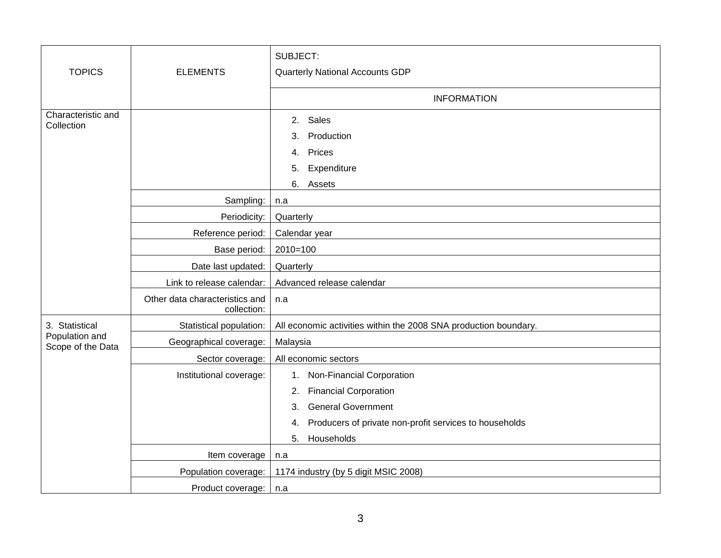|                                     |                                               | SUBJECT:                                                         |
|-------------------------------------|-----------------------------------------------|------------------------------------------------------------------|
| <b>TOPICS</b>                       | <b>ELEMENTS</b>                               | Quarterly National Accounts GDP                                  |
|                                     |                                               | <b>INFORMATION</b>                                               |
| Characteristic and<br>Collection    |                                               | Sales<br>2.                                                      |
|                                     |                                               | Production<br>3.                                                 |
|                                     |                                               | Prices<br>4.                                                     |
|                                     |                                               | Expenditure<br>5.                                                |
|                                     |                                               | 6. Assets                                                        |
|                                     | Sampling:                                     | n.a                                                              |
|                                     | Periodicity:                                  | Quarterly                                                        |
|                                     | Reference period:                             | Calendar year                                                    |
|                                     | Base period:                                  | $2010=100$                                                       |
|                                     | Date last updated:                            | Quarterly                                                        |
|                                     | Link to release calendar:                     | Advanced release calendar                                        |
|                                     | Other data characteristics and<br>collection: | n.a                                                              |
| 3. Statistical                      | Statistical population:                       | All economic activities within the 2008 SNA production boundary. |
| Population and<br>Scope of the Data | Geographical coverage:                        | Malaysia                                                         |
|                                     | Sector coverage:                              | All economic sectors                                             |
|                                     | Institutional coverage:                       | 1. Non-Financial Corporation                                     |
|                                     |                                               | <b>Financial Corporation</b><br>2.                               |
|                                     |                                               | <b>General Government</b><br>3.                                  |
|                                     |                                               | Producers of private non-profit services to households<br>4.     |
|                                     |                                               | Households<br>5.                                                 |
|                                     | Item coverage                                 | n.a                                                              |
|                                     | Population coverage:                          | 1174 industry (by 5 digit MSIC 2008)                             |
|                                     | Product coverage:                             | n.a                                                              |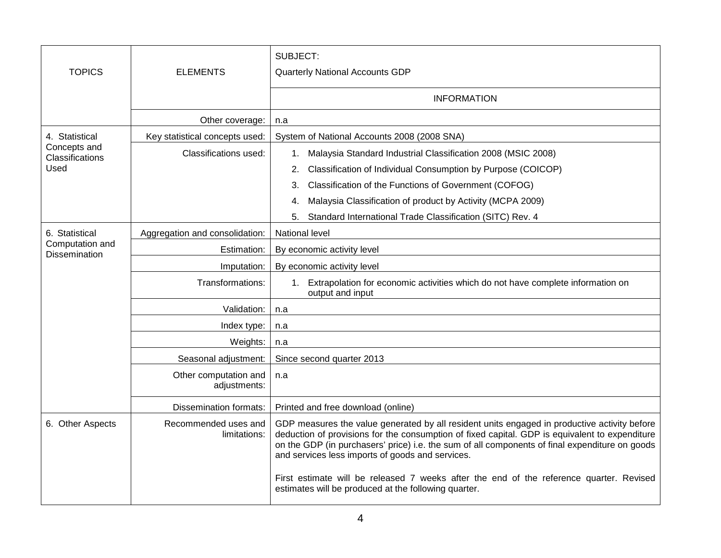| <b>TOPICS</b>                    | <b>ELEMENTS</b>                       | SUBJECT:<br>Quarterly National Accounts GDP                                                                                                                                                                                                                                                                                                          |
|----------------------------------|---------------------------------------|------------------------------------------------------------------------------------------------------------------------------------------------------------------------------------------------------------------------------------------------------------------------------------------------------------------------------------------------------|
|                                  |                                       | <b>INFORMATION</b>                                                                                                                                                                                                                                                                                                                                   |
|                                  | Other coverage:                       | n.a                                                                                                                                                                                                                                                                                                                                                  |
| 4. Statistical                   | Key statistical concepts used:        | System of National Accounts 2008 (2008 SNA)                                                                                                                                                                                                                                                                                                          |
| Concepts and<br>Classifications  | Classifications used:                 | Malaysia Standard Industrial Classification 2008 (MSIC 2008)<br>1.                                                                                                                                                                                                                                                                                   |
| Used                             |                                       | Classification of Individual Consumption by Purpose (COICOP)<br>2.                                                                                                                                                                                                                                                                                   |
|                                  |                                       | Classification of the Functions of Government (COFOG)<br>3.                                                                                                                                                                                                                                                                                          |
|                                  |                                       | Malaysia Classification of product by Activity (MCPA 2009)<br>4.                                                                                                                                                                                                                                                                                     |
|                                  |                                       | Standard International Trade Classification (SITC) Rev. 4<br>5.                                                                                                                                                                                                                                                                                      |
| 6. Statistical                   | Aggregation and consolidation:        | <b>National level</b>                                                                                                                                                                                                                                                                                                                                |
| Computation and<br>Dissemination | Estimation:                           | By economic activity level                                                                                                                                                                                                                                                                                                                           |
|                                  | Imputation:                           | By economic activity level                                                                                                                                                                                                                                                                                                                           |
|                                  | Transformations:                      | 1. Extrapolation for economic activities which do not have complete information on<br>output and input                                                                                                                                                                                                                                               |
|                                  | Validation:                           | n.a                                                                                                                                                                                                                                                                                                                                                  |
|                                  | Index type:                           | n.a                                                                                                                                                                                                                                                                                                                                                  |
|                                  | Weights:                              | n.a                                                                                                                                                                                                                                                                                                                                                  |
|                                  | Seasonal adjustment:                  | Since second quarter 2013                                                                                                                                                                                                                                                                                                                            |
|                                  | Other computation and<br>adjustments: | n.a                                                                                                                                                                                                                                                                                                                                                  |
|                                  | <b>Dissemination formats:</b>         | Printed and free download (online)                                                                                                                                                                                                                                                                                                                   |
| 6. Other Aspects                 | Recommended uses and<br>limitations:  | GDP measures the value generated by all resident units engaged in productive activity before<br>deduction of provisions for the consumption of fixed capital. GDP is equivalent to expenditure<br>on the GDP (in purchasers' price) i.e. the sum of all components of final expenditure on goods<br>and services less imports of goods and services. |
|                                  |                                       | First estimate will be released 7 weeks after the end of the reference quarter. Revised<br>estimates will be produced at the following quarter.                                                                                                                                                                                                      |